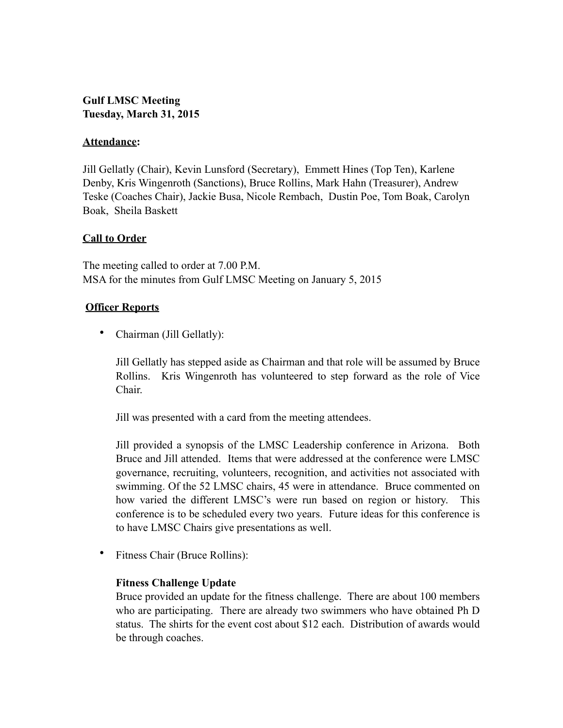# **Gulf LMSC Meeting Tuesday, March 31, 2015**

## **Attendance:**

Jill Gellatly (Chair), Kevin Lunsford (Secretary), Emmett Hines (Top Ten), Karlene Denby, Kris Wingenroth (Sanctions), Bruce Rollins, Mark Hahn (Treasurer), Andrew Teske (Coaches Chair), Jackie Busa, Nicole Rembach, Dustin Poe, Tom Boak, Carolyn Boak, Sheila Baskett

# **Call to Order**

The meeting called to order at 7.00 P.M. MSA for the minutes from Gulf LMSC Meeting on January 5, 2015

# **Officer Reports**

• Chairman (Jill Gellatly):

Jill Gellatly has stepped aside as Chairman and that role will be assumed by Bruce Rollins. Kris Wingenroth has volunteered to step forward as the role of Vice Chair.

Jill was presented with a card from the meeting attendees.

Jill provided a synopsis of the LMSC Leadership conference in Arizona. Both Bruce and Jill attended. Items that were addressed at the conference were LMSC governance, recruiting, volunteers, recognition, and activities not associated with swimming. Of the 52 LMSC chairs, 45 were in attendance. Bruce commented on how varied the different LMSC's were run based on region or history. This conference is to be scheduled every two years. Future ideas for this conference is to have LMSC Chairs give presentations as well.

• Fitness Chair (Bruce Rollins):

## **Fitness Challenge Update**

Bruce provided an update for the fitness challenge. There are about 100 members who are participating. There are already two swimmers who have obtained Ph D status. The shirts for the event cost about \$12 each. Distribution of awards would be through coaches.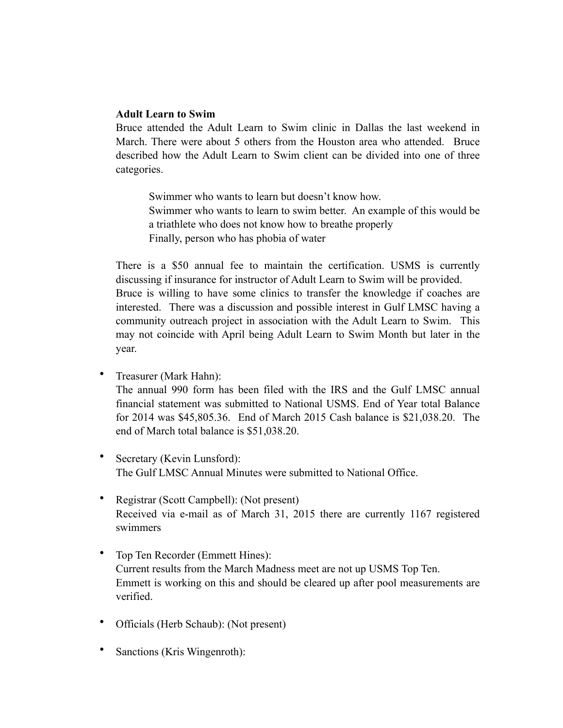## **Adult Learn to Swim**

Bruce attended the Adult Learn to Swim clinic in Dallas the last weekend in March. There were about 5 others from the Houston area who attended. Bruce described how the Adult Learn to Swim client can be divided into one of three categories.

Swimmer who wants to learn but doesn't know how. Swimmer who wants to learn to swim better. An example of this would be a triathlete who does not know how to breathe properly Finally, person who has phobia of water

There is a \$50 annual fee to maintain the certification. USMS is currently discussing if insurance for instructor of Adult Learn to Swim will be provided. Bruce is willing to have some clinics to transfer the knowledge if coaches are interested. There was a discussion and possible interest in Gulf LMSC having a community outreach project in association with the Adult Learn to Swim. This may not coincide with April being Adult Learn to Swim Month but later in the year.

- Treasurer (Mark Hahn): The annual 990 form has been filed with the IRS and the Gulf LMSC annual financial statement was submitted to National USMS. End of Year total Balance for 2014 was \$45,805.36. End of March 2015 Cash balance is \$21,038.20. The end of March total balance is \$51,038.20.
- Secretary (Kevin Lunsford): The Gulf LMSC Annual Minutes were submitted to National Office.
- Registrar (Scott Campbell): (Not present) Received via e-mail as of March 31, 2015 there are currently 1167 registered swimmers
- Top Ten Recorder (Emmett Hines): Current results from the March Madness meet are not up USMS Top Ten. Emmett is working on this and should be cleared up after pool measurements are verified.
- Officials (Herb Schaub): (Not present)
- Sanctions (Kris Wingenroth):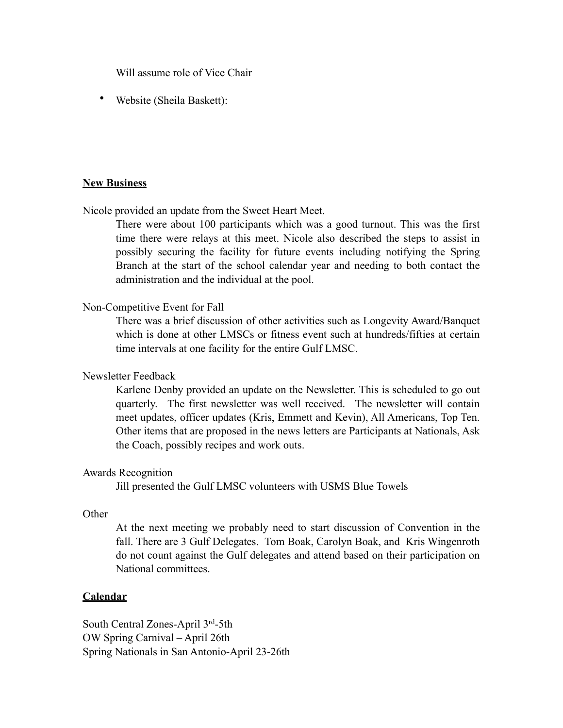Will assume role of Vice Chair

• Website (Sheila Baskett):

## **New Business**

Nicole provided an update from the Sweet Heart Meet.

There were about 100 participants which was a good turnout. This was the first time there were relays at this meet. Nicole also described the steps to assist in possibly securing the facility for future events including notifying the Spring Branch at the start of the school calendar year and needing to both contact the administration and the individual at the pool.

## Non-Competitive Event for Fall

There was a brief discussion of other activities such as Longevity Award/Banquet which is done at other LMSCs or fitness event such at hundreds/fifties at certain time intervals at one facility for the entire Gulf LMSC.

## Newsletter Feedback

Karlene Denby provided an update on the Newsletter. This is scheduled to go out quarterly. The first newsletter was well received. The newsletter will contain meet updates, officer updates (Kris, Emmett and Kevin), All Americans, Top Ten. Other items that are proposed in the news letters are Participants at Nationals, Ask the Coach, possibly recipes and work outs.

#### Awards Recognition

Jill presented the Gulf LMSC volunteers with USMS Blue Towels

#### **Other**

At the next meeting we probably need to start discussion of Convention in the fall. There are 3 Gulf Delegates. Tom Boak, Carolyn Boak, and Kris Wingenroth do not count against the Gulf delegates and attend based on their participation on National committees.

## **Calendar**

South Central Zones-April 3rd-5th OW Spring Carnival – April 26th Spring Nationals in San Antonio-April 23-26th